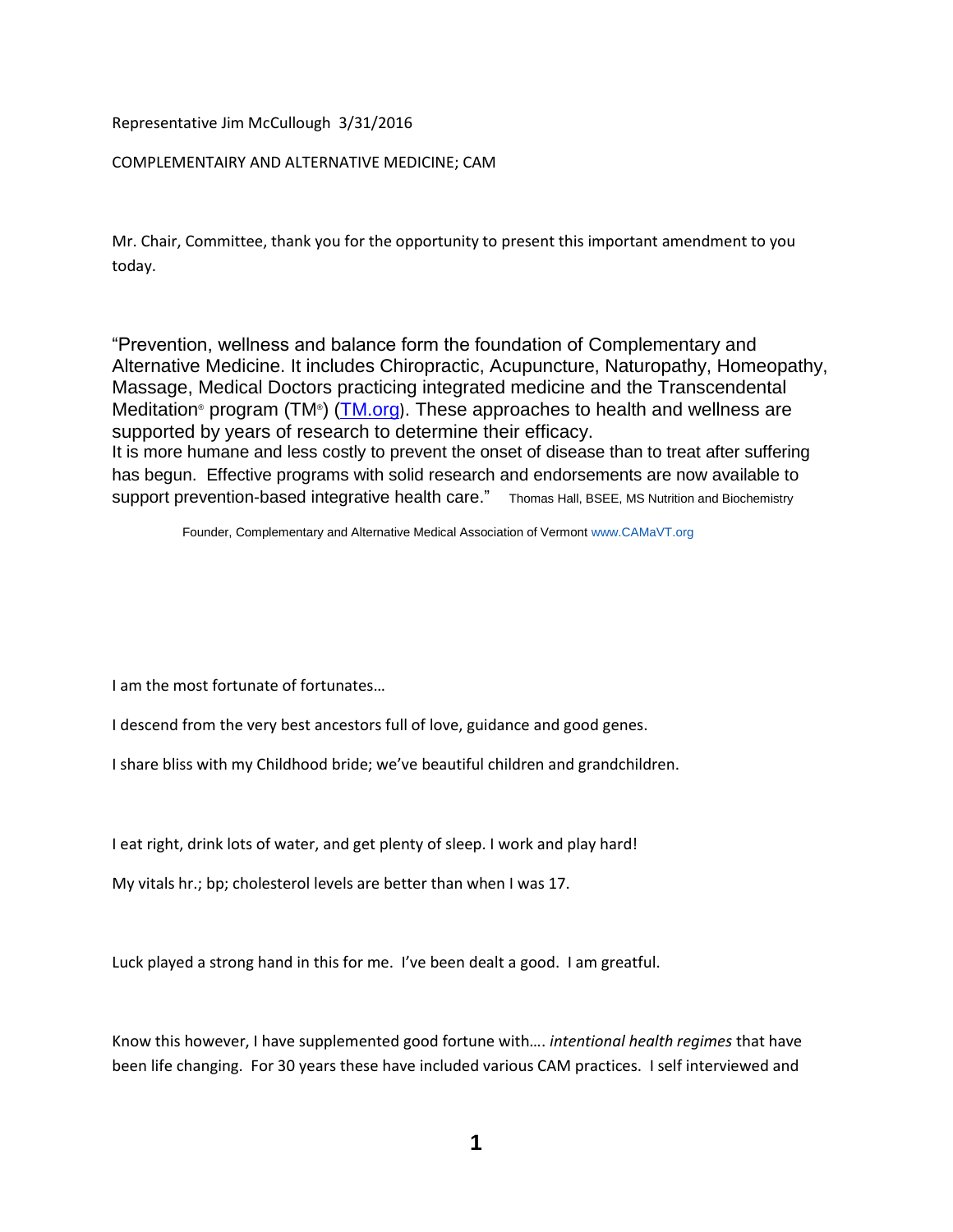Representative Jim McCullough 3/31/2016

#### COMPLEMENTAIRY AND ALTERNATIVE MEDICINE; CAM

Mr. Chair, Committee, thank you for the opportunity to present this important amendment to you today.

"Prevention, wellness and balance form the foundation of Complementary and Alternative Medicine. It includes Chiropractic, Acupuncture, Naturopathy, Homeopathy, Massage, Medical Doctors practicing integrated medicine and the Transcendental Meditation® program (TM®) [\(TM.org](http://www.tm.org/)). These approaches to health and wellness are supported by years of research to determine their efficacy. It is more humane and less costly to prevent the onset of disease than to treat after suffering has begun. Effective programs with solid research and endorsements are now available to support prevention-based integrative health care." Thomas Hall, BSEE, MS Nutrition and Biochemistry

Founder, Complementary and Alternative Medical Association of Vermont [www.CAMaVT.org](http://www.camavt.org/)

I am the most fortunate of fortunates…

I descend from the very best ancestors full of love, guidance and good genes.

I share bliss with my Childhood bride; we've beautiful children and grandchildren.

I eat right, drink lots of water, and get plenty of sleep. I work and play hard!

My vitals hr.; bp; cholesterol levels are better than when I was 17.

Luck played a strong hand in this for me. I've been dealt a good. I am greatful.

Know this however, I have supplemented good fortune with…. *intentional health regimes* that have been life changing. For 30 years these have included various CAM practices. I self interviewed and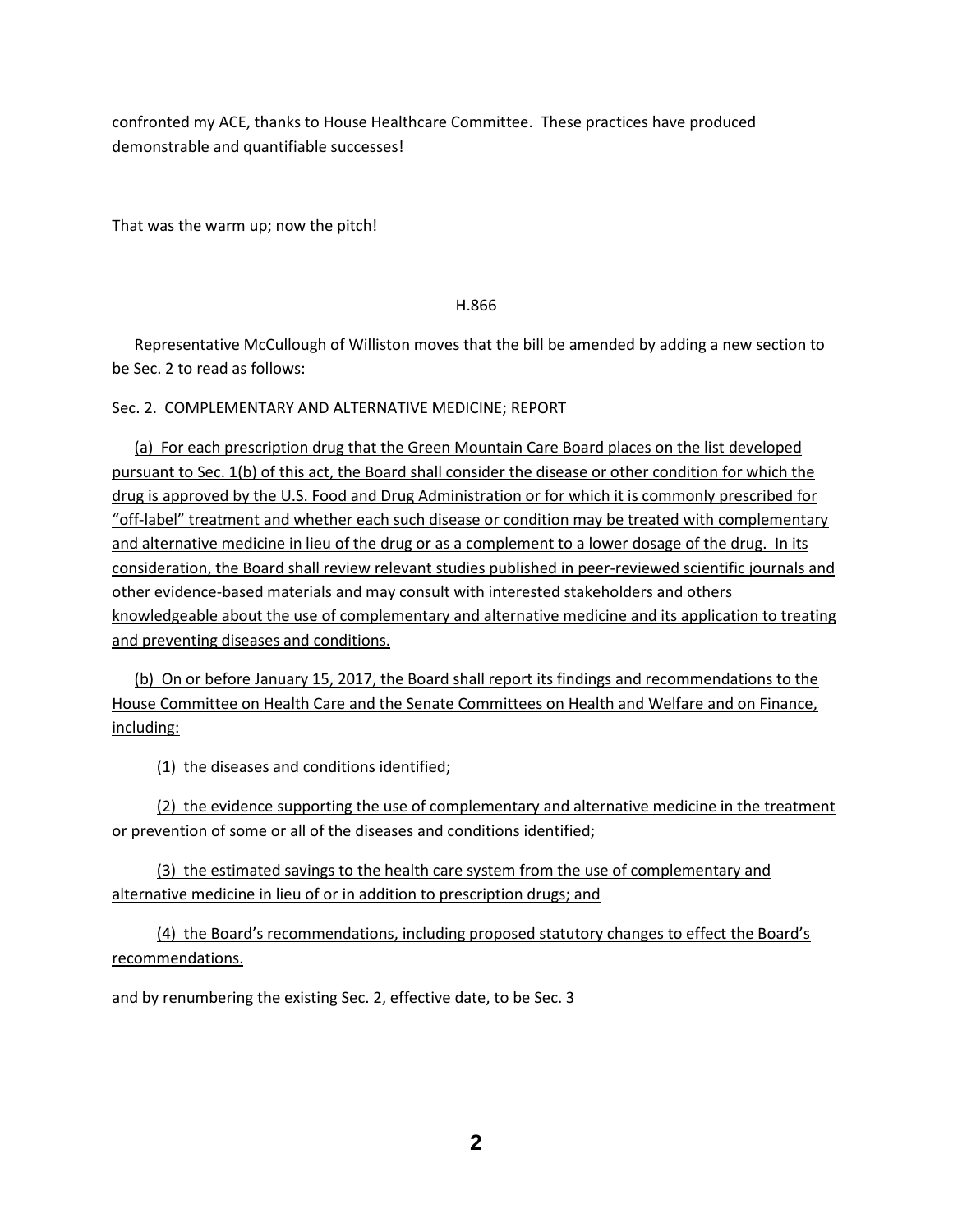confronted my ACE, thanks to House Healthcare Committee. These practices have produced demonstrable and quantifiable successes!

That was the warm up; now the pitch!

#### H.866

Representative McCullough of Williston moves that the bill be amended by adding a new section to be Sec. 2 to read as follows:

Sec. 2. COMPLEMENTARY AND ALTERNATIVE MEDICINE; REPORT

(a) For each prescription drug that the Green Mountain Care Board places on the list developed pursuant to Sec. 1(b) of this act, the Board shall consider the disease or other condition for which the drug is approved by the U.S. Food and Drug Administration or for which it is commonly prescribed for "off-label" treatment and whether each such disease or condition may be treated with complementary and alternative medicine in lieu of the drug or as a complement to a lower dosage of the drug. In its consideration, the Board shall review relevant studies published in peer-reviewed scientific journals and other evidence-based materials and may consult with interested stakeholders and others knowledgeable about the use of complementary and alternative medicine and its application to treating and preventing diseases and conditions.

(b) On or before January 15, 2017, the Board shall report its findings and recommendations to the House Committee on Health Care and the Senate Committees on Health and Welfare and on Finance, including:

(1) the diseases and conditions identified;

(2) the evidence supporting the use of complementary and alternative medicine in the treatment or prevention of some or all of the diseases and conditions identified;

(3) the estimated savings to the health care system from the use of complementary and alternative medicine in lieu of or in addition to prescription drugs; and

(4) the Board's recommendations, including proposed statutory changes to effect the Board's recommendations.

and by renumbering the existing Sec. 2, effective date, to be Sec. 3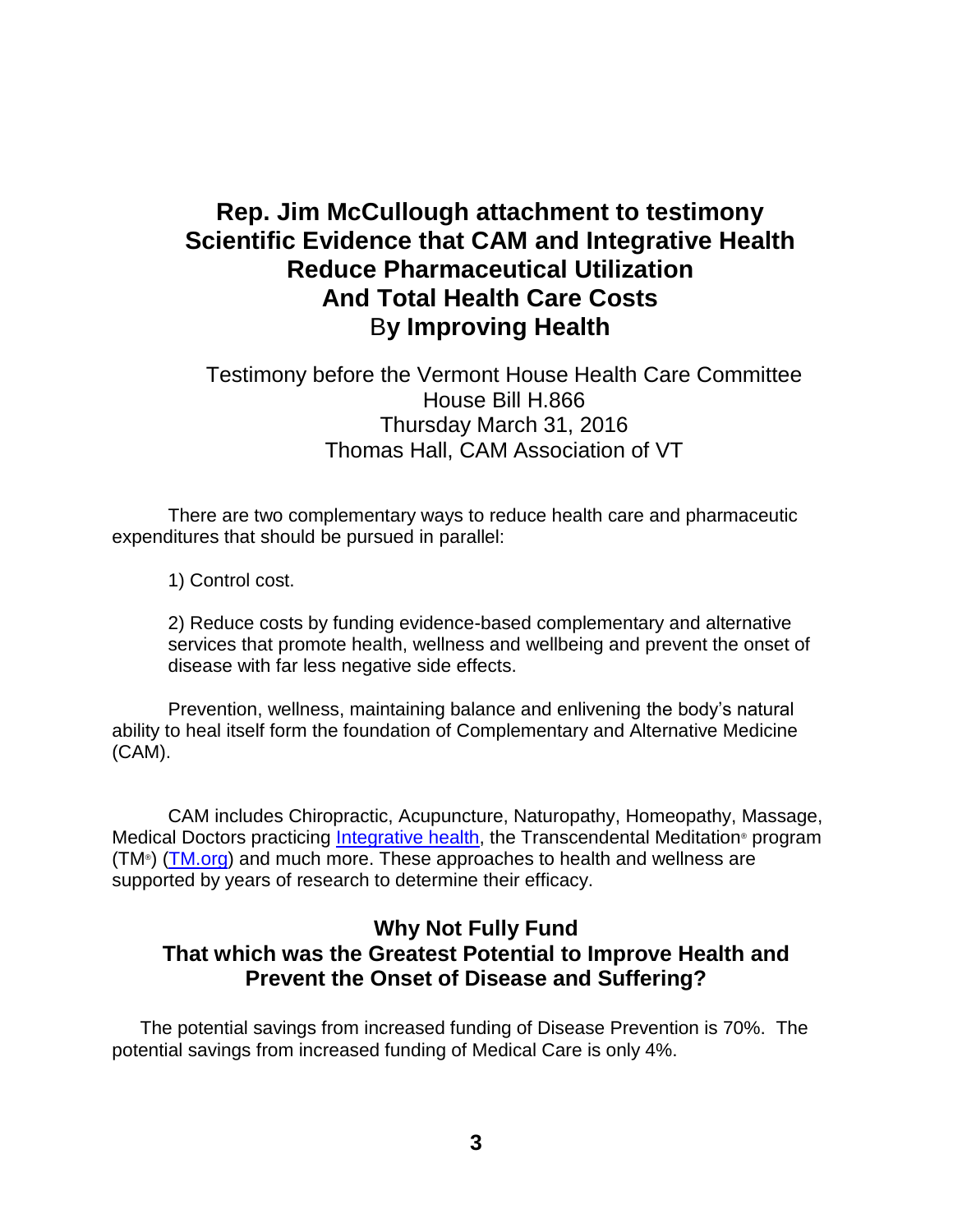# **Rep. Jim McCullough attachment to testimony Scientific Evidence that CAM and Integrative Health Reduce Pharmaceutical Utilization And Total Health Care Costs** B**y Improving Health**

# Testimony before the Vermont House Health Care Committee House Bill H.866 Thursday March 31, 2016 Thomas Hall, CAM Association of VT

There are two complementary ways to reduce health care and pharmaceutic expenditures that should be pursued in parallel:

1) Control cost.

2) Reduce costs by funding evidence-based complementary and alternative services that promote health, wellness and wellbeing and prevent the onset of disease with far less negative side effects.

Prevention, wellness, maintaining balance and enlivening the body's natural ability to heal itself form the foundation of Complementary and Alternative Medicine (CAM).

CAM includes Chiropractic, Acupuncture, Naturopathy, Homeopathy, Massage, Medical Doctors practicing [Integrative health,](https://www.uvm.edu/medicine/pih/) the Transcendental Meditation® program (TM<sup>®</sup>) [\(TM.org\)](http://www.tm.org/) and much more. These approaches to health and wellness are supported by years of research to determine their efficacy.

# **Why Not Fully Fund That which was the Greatest Potential to Improve Health and Prevent the Onset of Disease and Suffering?**

The potential savings from increased funding of Disease Prevention is 70%. The potential savings from increased funding of Medical Care is only 4%.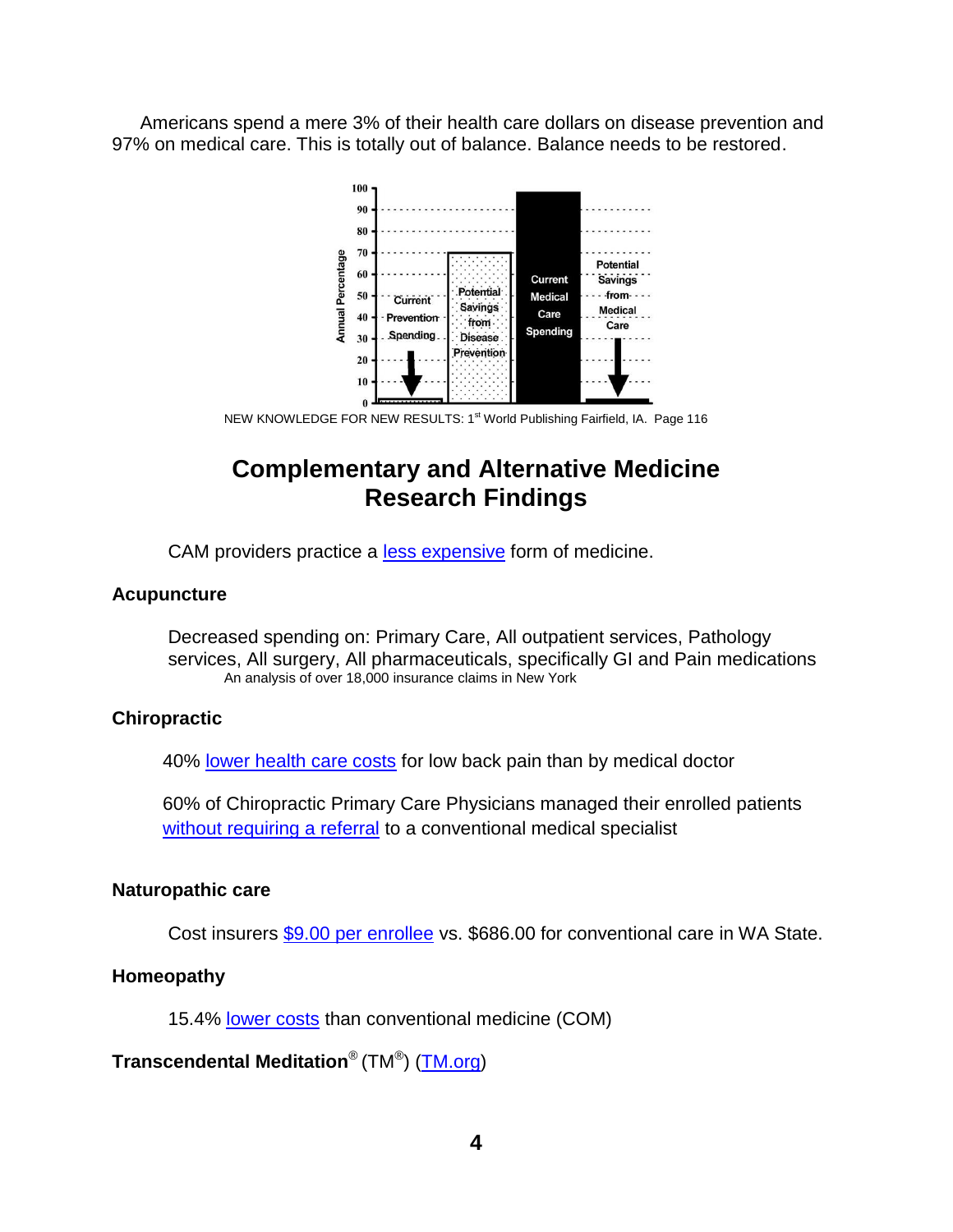Americans spend a mere 3% of their health care dollars on disease prevention and 97% on medical care. This is totally out of balance. Balance needs to be restored.



NEW KNOWLEDGE FOR NEW RESULTS: 1<sup>st</sup> World Publishing Fairfield, IA. Page 116

# **Complementary and Alternative Medicine Research Findings**

CAM providers practice a [less expensive](http://www.ncbi.nlm.nih.gov/pmc/articles/PMC1513668/) form of medicine.

### **Acupuncture**

Decreased spending on: Primary Care, All outpatient services, Pathology services, All surgery, All pharmaceuticals, specifically GI and Pain medications An analysis of over 18,000 insurance claims in New York

### **Chiropractic**

40% [lower health care costs](http://www.chiro.org/LINKS/ABSTRACTS/Cost_of_Care_for_Common_Back_Pain.shtml) for low back pain than by medical doctor

60% of Chiropractic Primary Care Physicians managed their enrolled patients [without requiring a referral](http://www.chiro.org/ChiroZine/ABSTRACTS/Clinical_Utilization_and_Cost_Outcomes.shtml) to a conventional medical specialist

### **Naturopathic care**

Cost insurers [\\$9.00 per enrollee](http://www.naturopathic.org/Files/Advocacy/2012%20Naturopath%20DC%20FLI%20WHITE%20PAPER.pdf) vs. \$686.00 for conventional care in WA State.

### **Homeopathy**

15.4% [lower costs](http://www.karger.com/Article/Abstract/334797) than conventional medicine (COM)

## **Transcendental Meditation**® (TM® ) [\(TM.org\)](http://www.tm.org/)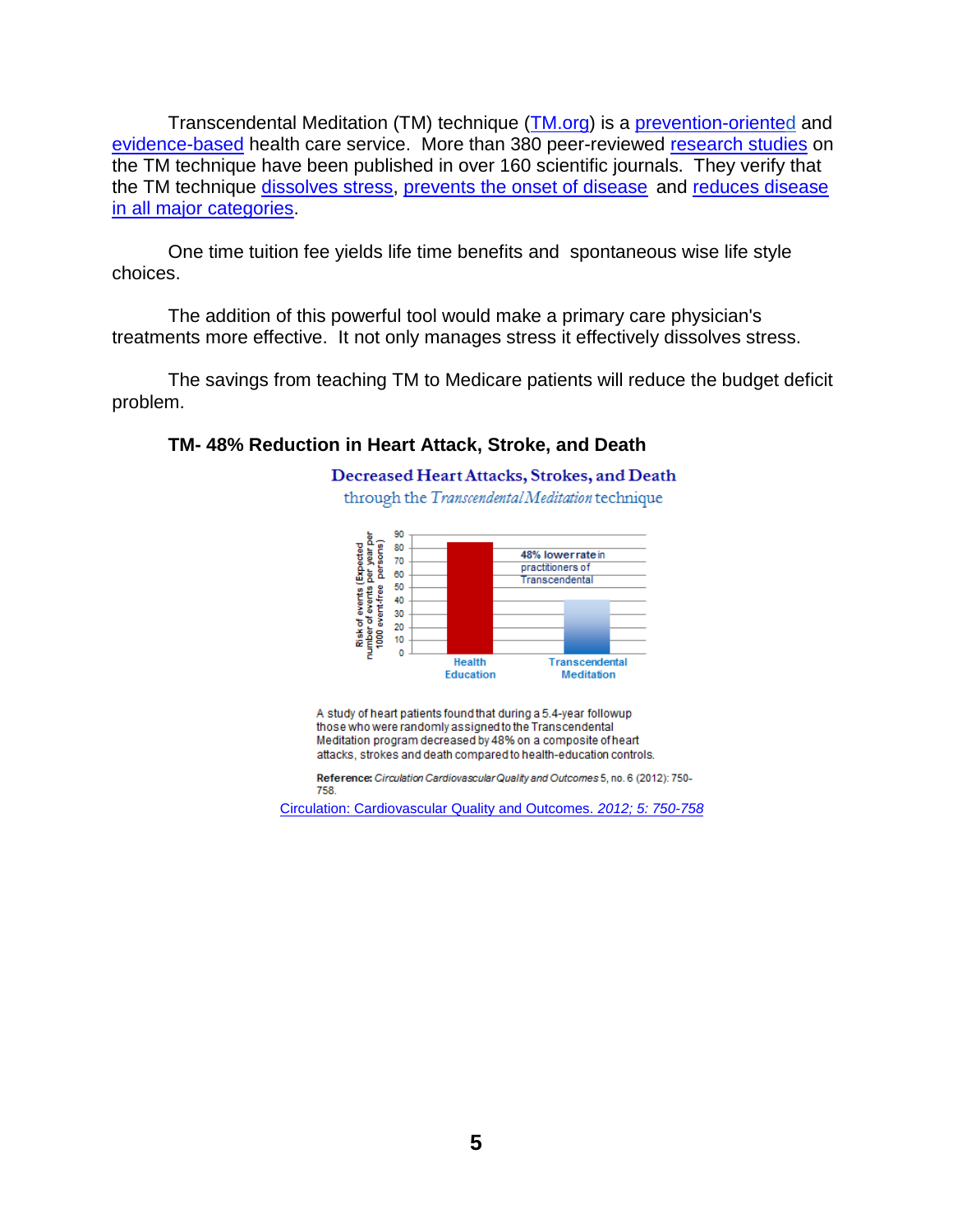Transcendental Meditation (TM) technique [\(TM.org\)](http://www.tm.org/) is a [prevention-oriented](http://www.ihpc.org/what-we-do/why-is-public-policy-the-solution/) an[d](https://nccih.nih.gov/about/plans/2011/introduction.htm) [evidence-based](https://nccih.nih.gov/about/plans/2011/introduction.htm) health care service. More than 380 peer-reviewed [research studies](http://www.tm.org/research-on-meditation) on the TM technique have been published in over 160 scientific journals. They verify that the TM technique [dissolves stress,](http://www.tm.org/reduced-stress-and-anxiety) [prevents the onset of disease](http://www.tm.org/blog/maharishi/transcendental-meditation-rx-for-good-health/) and [reduces disease](http://www.tm.org/research-on-meditation)  [in all major categories.](http://www.tm.org/research-on-meditation)

One time tuition fee yields life time benefits and spontaneous wise life style choices.

The addition of this powerful tool would make a primary care physician's treatments more effective. It not only manages stress it effectively dissolves stress.

The savings from teaching TM to Medicare patients will reduce the budget deficit problem.

### **TM- 48% Reduction in Heart Attack, Stroke, and Death**

Decreased Heart Attacks, Strokes, and Death through the Transcendental Meditation technique



A study of heart patients found that during a 5.4-year followup those who were randomly assigned to the Transcendental Meditation program decreased by 48% on a composite of heart attacks, strokes and death compared to health-education controls.

Reference: Circulation Cardiovascular Quality and Outcomes 5, no. 6 (2012): 750-758.

[Circulation: Cardiovascular Quality and Outcomes.](http://circoutcomes.ahajournals.org/content/5/6/750.full.html?ijkey=QPXb9AXO7LBwSjG&keytype=ref) *[2012; 5: 750-758](http://circoutcomes.ahajournals.org/content/5/6/750.full.html?ijkey=QPXb9AXO7LBwSjG&keytype=ref)*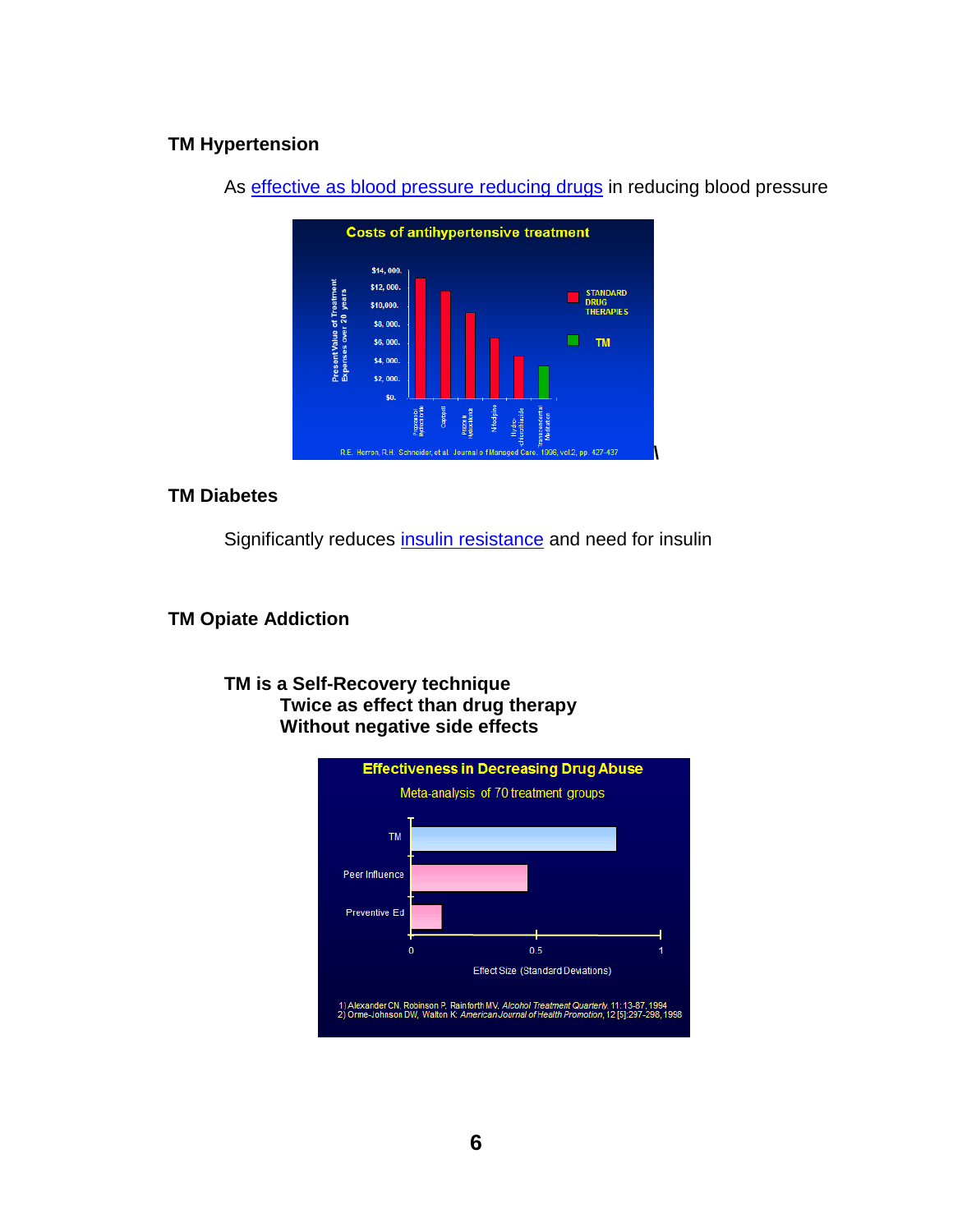## **TM Hypertension**



As [effective as blood pressure reducing drugs](http://portals.mum.edu/inmp-research) in reducing blood pressure

### **TM Diabetes**

Significantly reduces [insulin resistance](http://archinte.jamanetwork.com/article.aspx?articleid=410453) and need for insulin

**TM Opiate Addiction** 

### **TM is a Self-Recovery technique Twice as effect than drug therapy Without negative side effects**

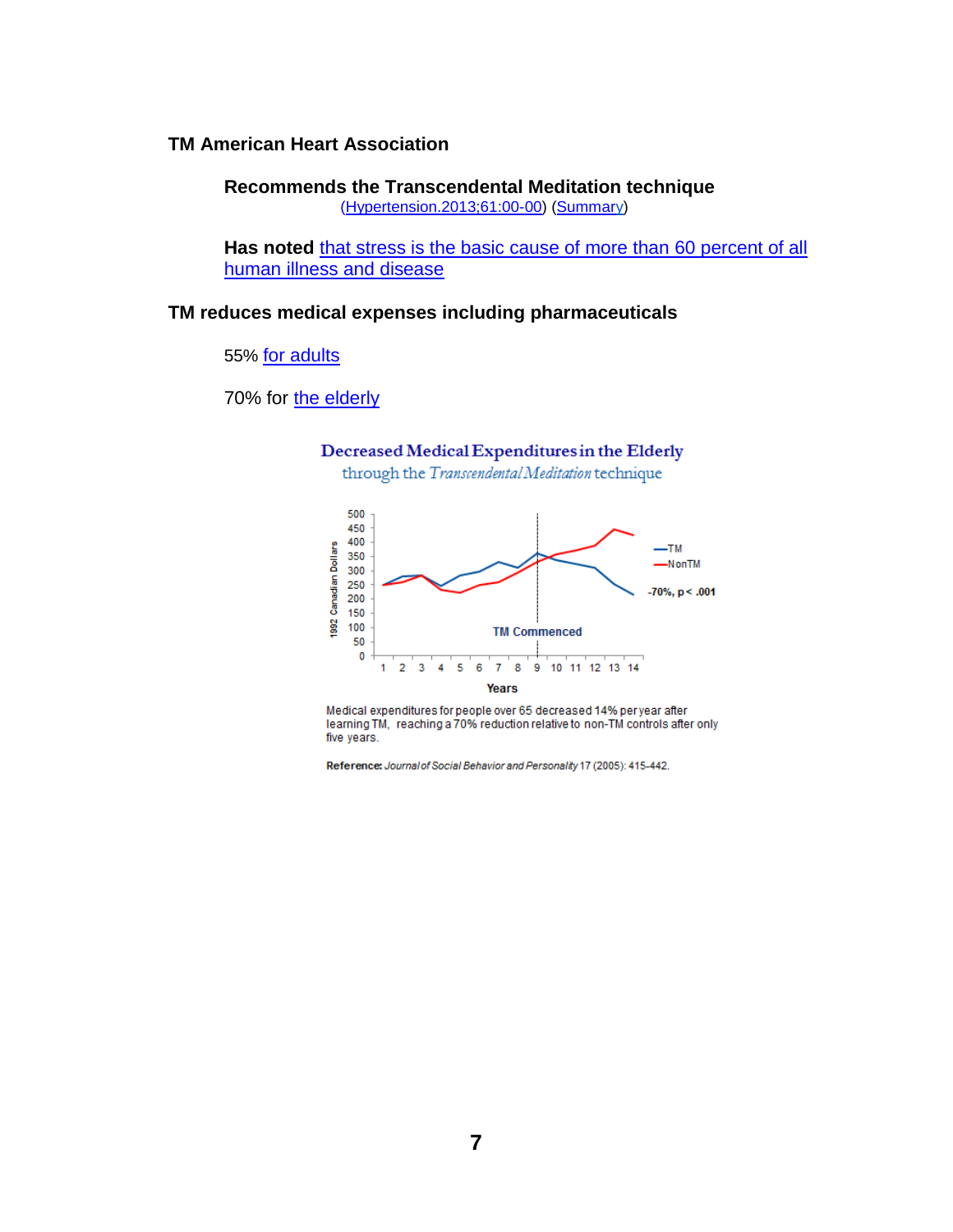### **TM American Heart Association**

**Recommends the Transcendental Meditation technique** [\(Hypertension.2013;61:00-00\)](http://hyper.ahajournals.org/content/early/2013/04/22/HYP.0b013e318293645f.full.pdf) [\(Summary\)](http://www.tm.org/american-heart-association)

Has noted [that stress is the basic cause of more than](http://www.huffingtonpost.com/heartmath-llc/how-stress-affects-the-body_b_2422522.html) 60 percent of all [human illness and disease](http://www.huffingtonpost.com/heartmath-llc/how-stress-affects-the-body_b_2422522.html)

### **TM reduces medical expenses including pharmaceuticals**

55% [for adults](http://www.alkalizeforhealth.net/Ltmhealth4.htm)

#### 70% for [the elderly](http://sante-conscience.fr/medias/Herron-frais-ages-2005.pdf)



Years

Medical expenditures for people over 65 decreased 14% per year after learning TM, reaching a 70% reduction relative to non-TM controls after only five years.

Reference: Journal of Social Behavior and Personality 17 (2005): 415-442.